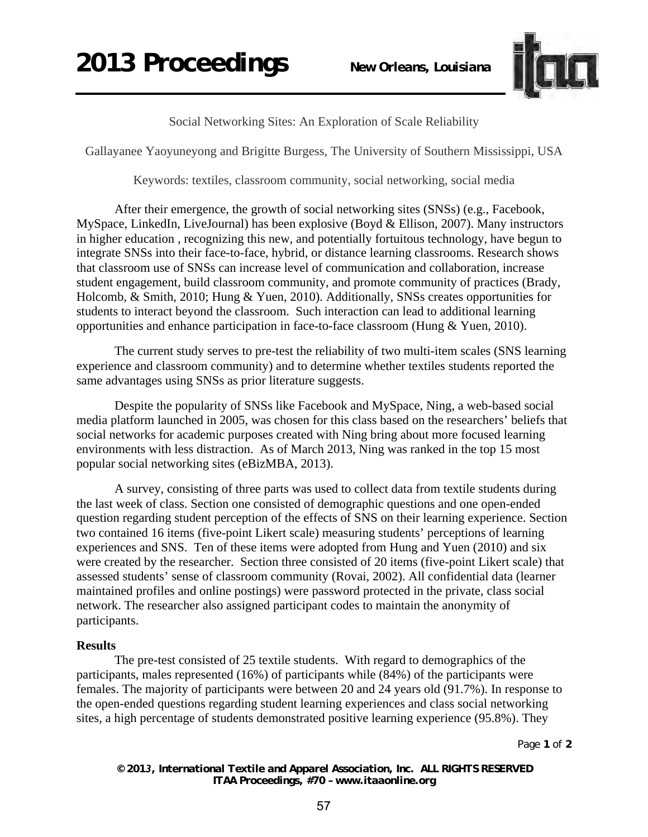

Social Networking Sites: An Exploration of Scale Reliability

Gallayanee Yaoyuneyong and Brigitte Burgess, The University of Southern Mississippi, USA

Keywords: textiles, classroom community, social networking, social media

After their emergence, the growth of social networking sites (SNSs) (e.g., Facebook, MySpace, LinkedIn, LiveJournal) has been explosive (Boyd & Ellison, 2007). Many instructors in higher education , recognizing this new, and potentially fortuitous technology, have begun to integrate SNSs into their face-to-face, hybrid, or distance learning classrooms. Research shows that classroom use of SNSs can increase level of communication and collaboration, increase student engagement, build classroom community, and promote community of practices (Brady, Holcomb, & Smith, 2010; Hung & Yuen, 2010). Additionally, SNSs creates opportunities for students to interact beyond the classroom. Such interaction can lead to additional learning opportunities and enhance participation in face-to-face classroom (Hung & Yuen, 2010).

The current study serves to pre-test the reliability of two multi-item scales (SNS learning experience and classroom community) and to determine whether textiles students reported the same advantages using SNSs as prior literature suggests.

Despite the popularity of SNSs like Facebook and MySpace, Ning, a web-based social media platform launched in 2005, was chosen for this class based on the researchers' beliefs that social networks for academic purposes created with Ning bring about more focused learning environments with less distraction. As of March 2013, Ning was ranked in the top 15 most popular social networking sites (eBizMBA, 2013).

A survey, consisting of three parts was used to collect data from textile students during the last week of class. Section one consisted of demographic questions and one open-ended question regarding student perception of the effects of SNS on their learning experience. Section two contained 16 items (five-point Likert scale) measuring students' perceptions of learning experiences and SNS. Ten of these items were adopted from Hung and Yuen (2010) and six were created by the researcher. Section three consisted of 20 items (five-point Likert scale) that assessed students' sense of classroom community (Rovai, 2002). All confidential data (learner maintained profiles and online postings) were password protected in the private, class social network. The researcher also assigned participant codes to maintain the anonymity of participants.

## **Results**

The pre-test consisted of 25 textile students. With regard to demographics of the participants, males represented (16%) of participants while (84%) of the participants were females. The majority of participants were between 20 and 24 years old (91.7%). In response to the open-ended questions regarding student learning experiences and class social networking sites, a high percentage of students demonstrated positive learning experience (95.8%). They

Page **1** of **2** 

*© 2013, International Textile and Apparel Association, Inc. ALL RIGHTS RESERVED ITAA Proceedings, #70 – www.itaaonline.org*